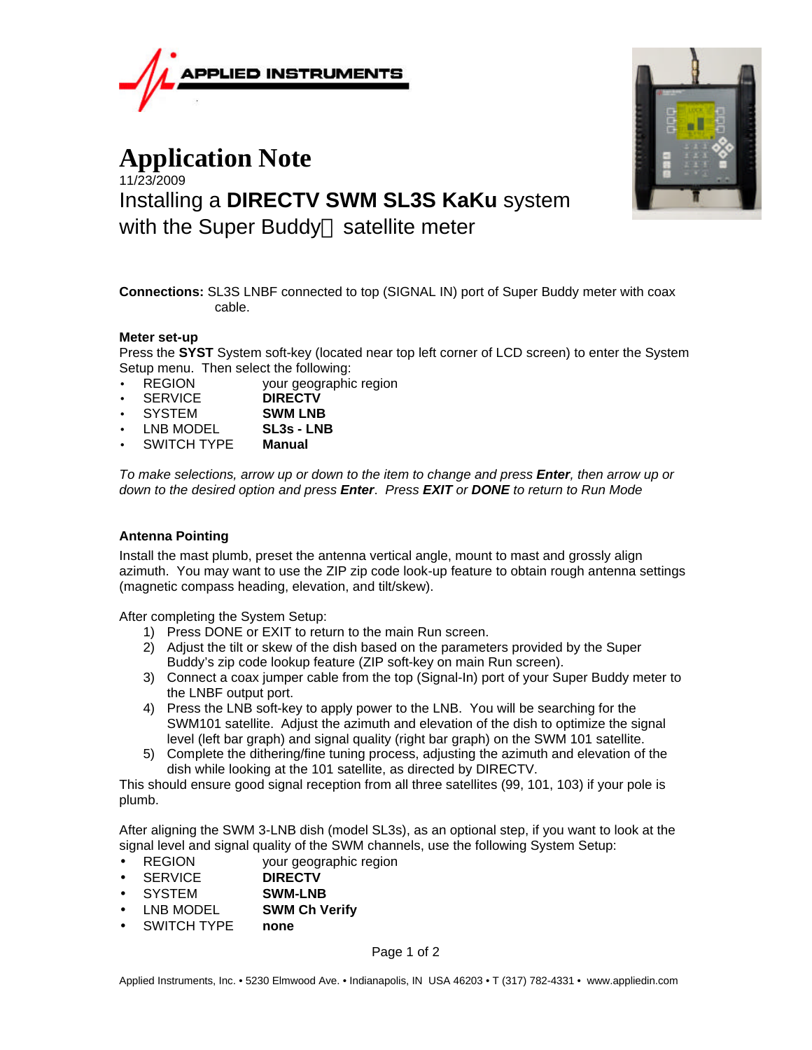

## **Application Note** 11/23/2009 Installing a **DIRECTV SWM SL3S KaKu** system with the Super Buddy<sup> $M$ </sup> satellite meter



**Connections:** SL3S LNBF connected to top (SIGNAL IN) port of Super Buddy meter with coax cable.

## **Meter set-up**

Press the **SYST** System soft-key (located near top left corner of LCD screen) to enter the System Setup menu. Then select the following:

- REGION your geographic region
- SERVICE **DIRECTV**
- SYSTEM **SWM LNB**
- LNB MODEL **SL3s LNB**
- SWITCH TYPE **Manual**

*To make selections, arrow up or down to the item to change and press Enter, then arrow up or down to the desired option and press Enter*. *Press EXIT or DONE to return to Run Mode*

## **Antenna Pointing**

Install the mast plumb, preset the antenna vertical angle, mount to mast and grossly align azimuth. You may want to use the ZIP zip code look-up feature to obtain rough antenna settings (magnetic compass heading, elevation, and tilt/skew).

After completing the System Setup:

- 1) Press DONE or EXIT to return to the main Run screen.
- 2) Adjust the tilt or skew of the dish based on the parameters provided by the Super Buddy's zip code lookup feature (ZIP soft-key on main Run screen).
- 3) Connect a coax jumper cable from the top (Signal-In) port of your Super Buddy meter to the LNBF output port.
- 4) Press the LNB soft-key to apply power to the LNB. You will be searching for the SWM101 satellite. Adjust the azimuth and elevation of the dish to optimize the signal level (left bar graph) and signal quality (right bar graph) on the SWM 101 satellite.
- 5) Complete the dithering/fine tuning process, adjusting the azimuth and elevation of the dish while looking at the 101 satellite, as directed by DIRECTV.

This should ensure good signal reception from all three satellites (99, 101, 103) if your pole is plumb.

After aligning the SWM 3-LNB dish (model SL3s), as an optional step, if you want to look at the signal level and signal quality of the SWM channels, use the following System Setup:

- REGION your geographic region
- SERVICE **DIRECTV**
- SYSTEM **SWM-LNB**
- LNB MODEL **SWM Ch Verify**
- SWITCH TYPE **none**